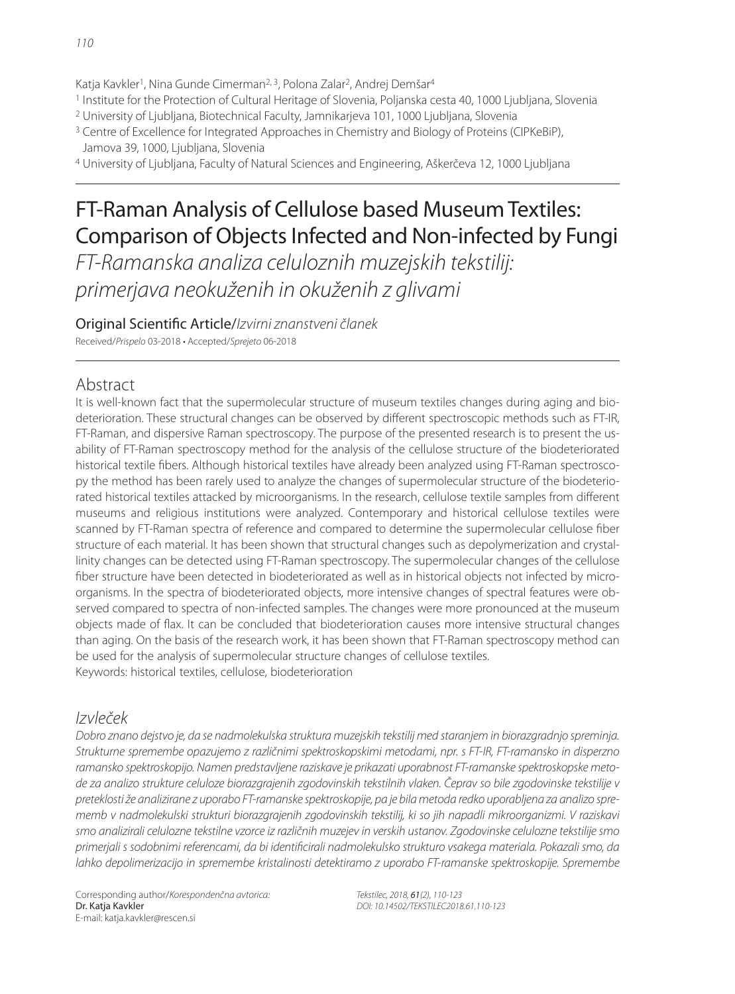Katja Kavkler<sup>1</sup>, Nina Gunde Cimerman<sup>2, 3</sup>, Polona Zalar<sup>2</sup>, Andrej Demšar<sup>4</sup>

- 1 Institute for the Protection of Cultural Heritage of Slovenia, Poljanska cesta 40, 1000 Ljubljana, Slovenia
- <sup>2</sup> University of Liubliana, Biotechnical Faculty, Jamnikarieva 101, 1000 Liubliana, Slovenia
- 3 Centre of Excellence for Integrated Approaches in Chemistry and Biology of Proteins (CIPKeBiP), Jamova 39, 1000, Ljubljana, Slovenia

4 University of Ljubljana, Faculty of Natural Sciences and Engineering, Aškerčeva 12, 1000 Ljubljana

# FT-Raman Analysis of Cellulose based Museum Textiles: Comparison of Objects Infected and Non-infected by Fungi

FT-Ramanska analiza celuloznih muzejskih tekstilij: primerjava neokuženih in okuženih z glivami

Original Scientific Article/Izvirni znanstveni članek Received/Prispelo 03-2018 • Accepted/Sprejeto 06-2018

## Abstract

It is well-known fact that the supermolecular structure of museum textiles changes during aging and biodeterioration. These structural changes can be observed by different spectroscopic methods such as FT-IR, FT-Raman, and dispersive Raman spectroscopy. The purpose of the presented research is to present the usability of FT-Raman spectroscopy method for the analysis of the cellulose structure of the biodeteriorated historical textile fibers. Although historical textiles have already been analyzed using FT-Raman spectroscopy the method has been rarely used to analyze the changes of supermolecular structure of the biodeteriorated historical textiles attacked by microorganisms. In the research, cellulose textile samples from different museums and religious institutions were analyzed. Contemporary and historical cellulose textiles were scanned by FT-Raman spectra of reference and compared to determine the supermolecular cellulose fiber structure of each material. It has been shown that structural changes such as depolymerization and crystallinity changes can be detected using FT-Raman spectroscopy. The supermolecular changes of the cellulose fiber structure have been detected in biodeteriorated as well as in historical objects not infected by microorganisms. In the spectra of biodeteriorated objects, more intensive changes of spectral features were observed compared to spectra of non-infected samples. The changes were more pronounced at the museum objects made of flax. It can be concluded that biodeterioration causes more intensive structural changes than aging. On the basis of the research work, it has been shown that FT-Raman spectroscopy method can be used for the analysis of supermolecular structure changes of cellulose textiles. Keywords: historical textiles, cellulose, biodeterioration

## Izvleček

Dobro znano dejstvo je, da se nadmolekulska struktura muzejskih tekstilij med staranjem in biorazgradnjo spreminja. Strukturne spremembe opazujemo z različnimi spektroskopskimi metodami, npr. s FT-IR, FT-ramansko in disperzno ramansko spektroskopijo. Namen predstavljene raziskave je prikazati uporabnost FT-ramanske spektroskopske metode za analizo strukture celuloze biorazgrajenih zgodovinskih tekstilnih vlaken. Čeprav so bile zgodovinske tekstilije v preteklosti že analizirane z uporabo FT-ramanske spektroskopije, pa je bila metoda redko uporabljena za analizo sprememb v nadmolekulski strukturi biorazgrajenih zgodovinskih tekstilij, ki so jih napadli mikroorganizmi. V raziskavi smo analizirali celulozne tekstilne vzorce iz različnih muzejev in verskih ustanov. Zgodovinske celulozne tekstilije smo primerjali s sodobnimi referencami, da bi identificirali nadmolekulsko strukturo vsakega materiala. Pokazali smo, da lahko depolimerizacijo in spremembe kristalinosti detektiramo z uporabo FT-ramanske spektroskopije. Spremembe

Corresponding author/Korespondenčna avtorica: Dr. Katja Kavkler E-mail: katja.kavkler@rescen.si

Tekstilec, 2018, 61(2), 110-123 DOI: 10.14502/TEKSTILEC2018.61.110-123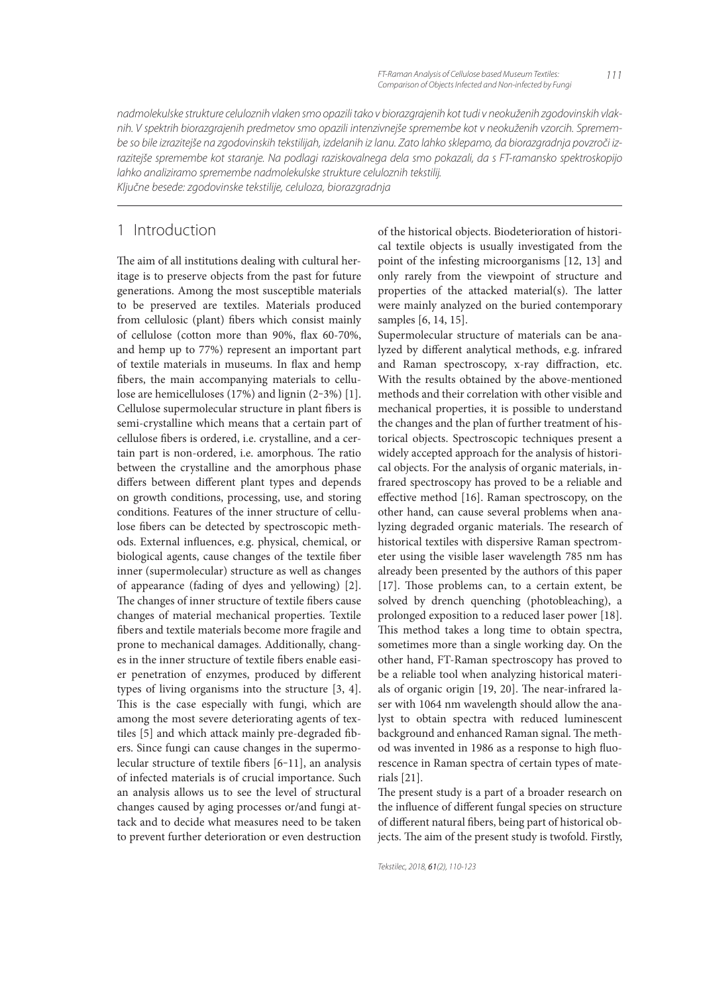nadmolekulske strukture celuloznih vlaken smo opazili tako v biorazgrajenih kot tudi v neokuženih zgodovinskih vlaknih. V spektrih biorazgrajenih predmetov smo opazili intenzivnejše spremembe kot v neokuženih vzorcih. Spremembe so bile izrazitejše na zgodovinskih tekstilijah, izdelanih iz lanu. Zato lahko sklepamo, da biorazgradnja povzroči izrazitejše spremembe kot staranje. Na podlagi raziskovalnega dela smo pokazali, da s FT-ramansko spektroskopijo lahko analiziramo spremembe nadmolekulske strukture celuloznih tekstilij. Ključne besede: zgodovinske tekstilije, celuloza, biorazgradnja

1 Introduction

The aim of all institutions dealing with cultural heritage is to preserve objects from the past for future generations. Among the most susceptible materials to be preserved are textiles. Materials produced from cellulosic (plant) fibers which consist mainly of cellulose (cotton more than  $90\%$ , flax  $60-70\%$ , and hemp up to 77%) represent an important part of textile materials in museums. In flax and hemp fibers, the main accompanying materials to cellulose are hemicelluloses (17%) and lignin (2-3%) [1]. Cellulose supermolecular structure in plant fibers is semi-crystalline which means that a certain part of cellulose fibers is ordered, i.e. crystalline, and a certain part is non-ordered, i.e. amorphous. The ratio between the crystalline and the amorphous phase differs between different plant types and depends on growth conditions, processing, use, and storing conditions. Features of the inner structure of cellulose fibers can be detected by spectroscopic methods. External influences, e.g. physical, chemical, or biological agents, cause changes of the textile fiber inner (supermolecular) structure as well as changes of appearance (fading of dyes and yellowing) [2]. The changes of inner structure of textile fibers cause changes of material mechanical properties. Textile fibers and textile materials become more fragile and prone to mechanical damages. Additionally, changes in the inner structure of textile fibers enable easier penetration of enzymes, produced by different types of living organisms into the structure [3, 4]. This is the case especially with fungi, which are among the most severe deteriorating agents of textiles [5] and which attack mainly pre-degraded fibers. Since fungi can cause changes in the supermolecular structure of textile fibers [6-11], an analysis of infected materials is of crucial importance. Such an analysis allows us to see the level of structural changes caused by aging processes or/and fungi attack and to decide what measures need to be taken to prevent further deterioration or even destruction of the historical objects. Biodeterioration of historical textile objects is usually investigated from the point of the infesting microorganisms [12, 13] and only rarely from the viewpoint of structure and properties of the attacked material(s). The latter were mainly analyzed on the buried contemporary samples [6, 14, 15].

Supermolecular structure of materials can be analyzed by different analytical methods, e.g. infrared and Raman spectroscopy, x-ray diffraction, etc. With the results obtained by the above-mentioned methods and their correlation with other visible and mechanical properties, it is possible to understand the changes and the plan of further treatment of historical objects. Spectroscopic techniques present a widely accepted approach for the analysis of historical objects. For the analysis of organic materials, infrared spectroscopy has proved to be a reliable and effective method [16]. Raman spectroscopy, on the other hand, can cause several problems when analyzing degraded organic materials. The research of historical textiles with dispersive Raman spectrometer using the visible laser wavelength 785 nm has already been presented by the authors of this paper [17]. Those problems can, to a certain extent, be solved by drench quenching (photobleaching), a prolonged exposition to a reduced laser power [18]. This method takes a long time to obtain spectra, sometimes more than a single working day. On the other hand, FT-Raman spectroscopy has proved to be a reliable tool when analyzing historical materials of organic origin [19, 20]. The near-infrared laser with 1064 nm wavelength should allow the analyst to obtain spectra with reduced luminescent background and enhanced Raman signal. The method was invented in 1986 as a response to high fluorescence in Raman spectra of certain types of materials [21].

The present study is a part of a broader research on the influence of different fungal species on structure of different natural fibers, being part of historical objects. The aim of the present study is twofold. Firstly,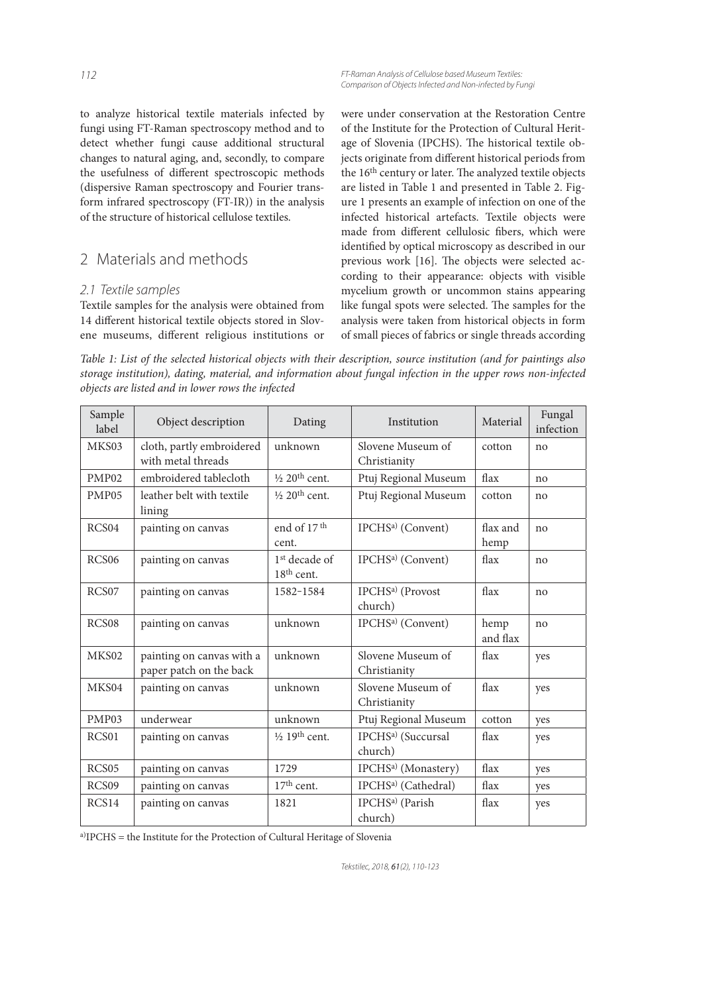to analyze historical textile materials infected by fungi using FT-Raman spectroscopy method and to detect whether fungi cause additional structural changes to natural aging, and, secondly, to compare the usefulness of different spectroscopic methods (dispersive Raman spectroscopy and Fourier transform infrared spectroscopy (FT-IR)) in the analysis of the structure of historical cellulose textiles.

# 2 Materials and methods

#### 2.1 Textile samples

Textile samples for the analysis were obtained from 14 different historical textile objects stored in Slovene museums, different religious institutions or

FT-Raman Analysis of Cellulose based Museum Textiles: Comparison of Objects Infected and Non-infected by Fungi

were under conservation at the Restoration Centre of the Institute for the Protection of Cultural Heritage of Slovenia (IPCHS). The historical textile objects originate from different historical periods from the 16<sup>th</sup> century or later. The analyzed textile objects are listed in Table 1 and presented in Table 2. Figure 1 presents an example of infection on one of the infected historical artefacts. Textile objects were made from different cellulosic fibers, which were identified by optical microscopy as described in our previous work [16]. The objects were selected according to their appearance: objects with visible mycelium growth or uncommon stains appearing like fungal spots were selected. The samples for the analysis were taken from historical objects in form of small pieces of fabrics or single threads according

Table 1: List of the selected historical objects with their description, source institution (and for paintings also storage institution), dating, material, and information about fungal infection in the upper rows non-infected objects are listed and in lower rows the infected

| Sample<br>label   | Object description                                   | Dating                                    | Institution                               | Material         | Fungal<br>infection |
|-------------------|------------------------------------------------------|-------------------------------------------|-------------------------------------------|------------------|---------------------|
| MKS03             | cloth, partly embroidered<br>with metal threads      | unknown                                   | Slovene Museum of<br>Christianity         | cotton           | no                  |
| PMP <sub>02</sub> | embroidered tablecloth                               | $\frac{1}{2}$ 20 <sup>th</sup> cent.      | Ptuj Regional Museum                      | flax             | no                  |
| PMP <sub>05</sub> | leather belt with textile<br>lining                  | $\frac{1}{2}$ 20 <sup>th</sup> cent.      | Ptuj Regional Museum                      | cotton           | no                  |
| RCS04             | painting on canvas                                   | end of 17 <sup>th</sup><br>cent.          | IPCHS <sup>a)</sup> (Convent)             | flax and<br>hemp | no                  |
| RCS <sub>06</sub> | painting on canvas                                   | 1 <sup>st</sup> decade of<br>$18th$ cent. | IPCHS <sup>a)</sup> (Convent)             | flax             | no                  |
| RCS <sub>07</sub> | painting on canvas                                   | 1582-1584                                 | IPCHS <sup>a)</sup> (Provost<br>church)   | flax             | no                  |
| RCS <sub>08</sub> | painting on canvas                                   | unknown                                   | IPCHS <sup>a)</sup> (Convent)             | hemp<br>and flax | no                  |
| MKS02             | painting on canvas with a<br>paper patch on the back | unknown                                   | Slovene Museum of<br>Christianity         | flax             | yes                 |
| MKS04             | painting on canvas                                   | unknown                                   | Slovene Museum of<br>Christianity         | flax             | yes                 |
| PMP <sub>03</sub> | underwear                                            | unknown                                   | Ptuj Regional Museum                      | cotton           | yes                 |
| RCS <sub>01</sub> | painting on canvas                                   | $\frac{1}{2}$ 19 <sup>th</sup> cent.      | IPCHS <sup>a)</sup> (Succursal<br>church) | flax             | yes                 |
| RCS <sub>05</sub> | painting on canvas                                   | 1729                                      | IPCHS <sup>a)</sup> (Monastery)           | flax             | yes                 |
| RCS <sub>09</sub> | painting on canvas                                   | $17th$ cent.                              | IPCHS <sup>a)</sup> (Cathedral)           | flax             | yes                 |
| RCS14             | painting on canvas                                   | 1821                                      | IPCHS <sup>a)</sup> (Parish<br>church)    | flax             | yes                 |

a)IPCHS = the Institute for the Protection of Cultural Heritage of Slovenia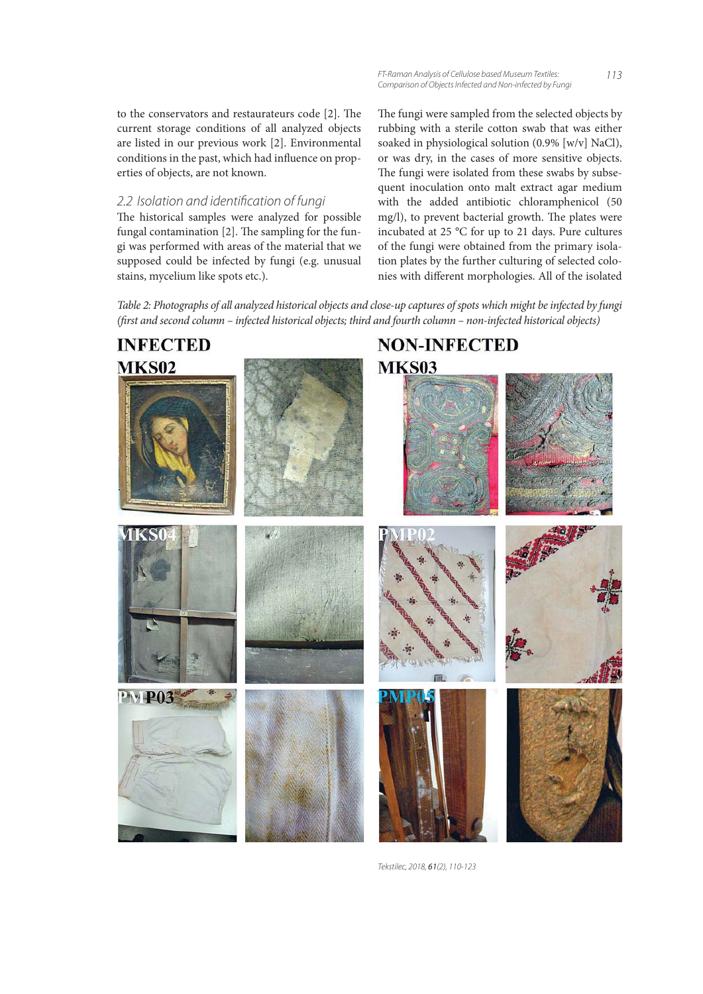to the conservators and restaurateurs code  $[2]$ . The current storage conditions of all analyzed objects are listed in our previous work [2]. Environmental conditions in the past, which had influence on properties of objects, are not known.

#### 2.2 Isolation and identification of fungi

The historical samples were analyzed for possible fungal contamination  $[2]$ . The sampling for the fungi was performed with areas of the material that we supposed could be infected by fungi (e.g. unusual stains, mycelium like spots etc.).

FT-Raman Analysis of Cellulose based Museum Textiles: Comparison of Objects Infected and Non-infected by Fungi

113

The fungi were sampled from the selected objects by rubbing with a sterile cotton swab that was either soaked in physiological solution (0.9% [w/v] NaCl), or was dry, in the cases of more sensitive objects. The fungi were isolated from these swabs by subsequent inoculation onto malt extract agar medium with the added antibiotic chloramphenicol (50 mg/l), to prevent bacterial growth. The plates were incubated at 25 °C for up to 21 days. Pure cultures of the fungi were obtained from the primary isolation plates by the further culturing of selected colonies with different morphologies. All of the isolated

Table 2: Photographs of all analyzed historical objects and close-up captures of spots which might be infected by fungi (first and second column – infected historical objects; third and fourth column – non-infected historical objects)

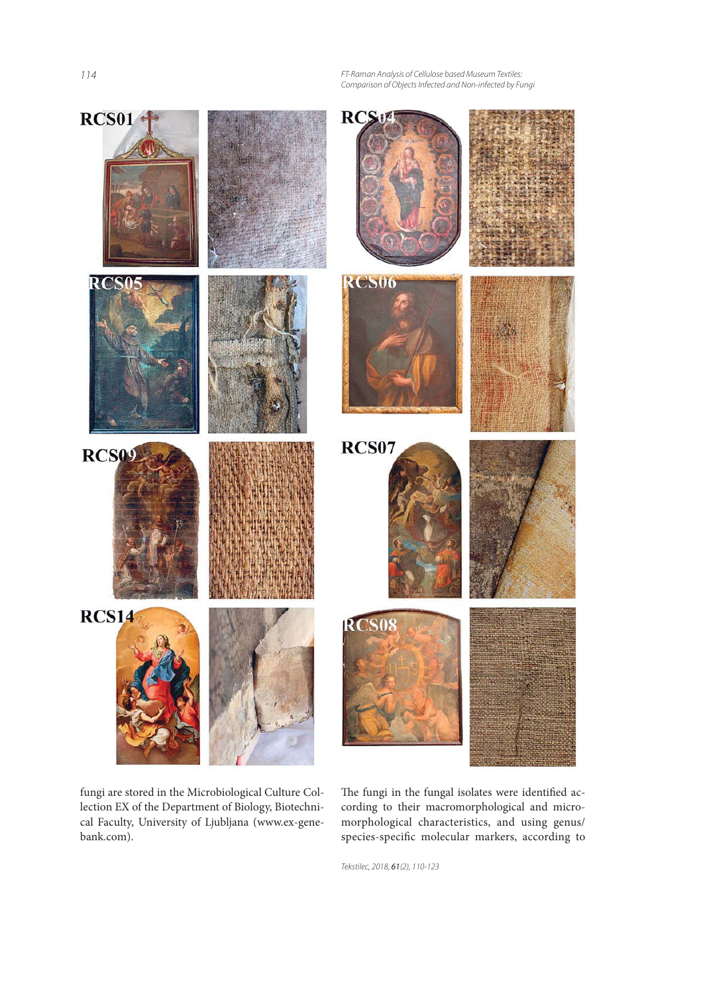114

FT-Raman Analysis of Cellulose based Museum Textiles: Comparison of Objects Infected and Non-infected by Fungi



fungi are stored in the Microbiological Culture Collection EX of the Department of Biology, Biotechnical Faculty, University of Ljubljana (www.ex-genebank.com).

The fungi in the fungal isolates were identified according to their macromorphological and micromorphological characteristics, and using genus/ species-specific molecular markers, according to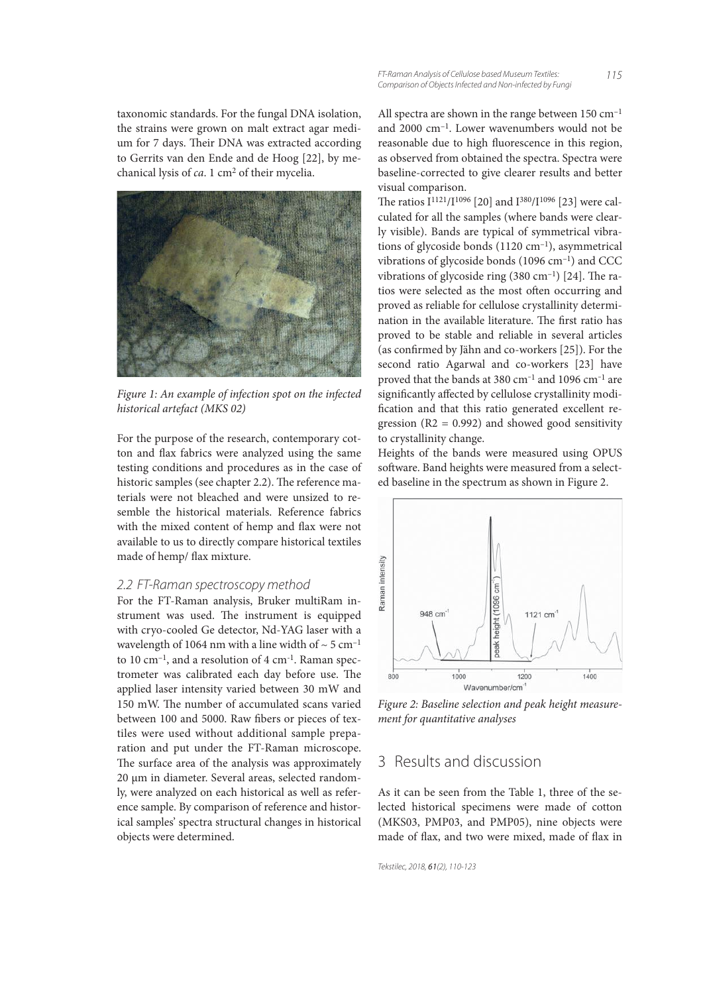taxonomic standards. For the fungal DNA isolation, the strains were grown on malt extract agar medium for 7 days. Their DNA was extracted according to Gerrits van den Ende and de Hoog [22], by mechanical lysis of ca. 1 cm2 of their mycelia.

![](_page_5_Picture_1.jpeg)

Figure 1: An example of infection spot on the infected historical artefact (MKS 02)

For the purpose of the research, contemporary cotton and flax fabrics were analyzed using the same testing conditions and procedures as in the case of historic samples (see chapter 2.2). The reference materials were not bleached and were unsized to resemble the historical materials. Reference fabrics with the mixed content of hemp and flax were not available to us to directly compare historical textiles made of hemp/ flax mixture.

#### 2.2 FT-Raman spectroscopy method

For the FT-Raman analysis, Bruker multiRam instrument was used. The instrument is equipped with cryo-cooled Ge detector, Nd-YAG laser with a wavelength of 1064 nm with a line width of  $\sim$  5 cm<sup>-1</sup> to 10 cm<sup>-1</sup>, and a resolution of 4 cm<sup>-1</sup>. Raman spectrometer was calibrated each day before use. The applied laser intensity varied between 30 mW and 150 mW. The number of accumulated scans varied between 100 and 5000. Raw fibers or pieces of textiles were used without additional sample preparation and put under the FT-Raman microscope. The surface area of the analysis was approximately 20 μm in diameter. Several areas, selected randomly, were analyzed on each historical as well as reference sample. By comparison of reference and historical samples' spectra structural changes in historical objects were determined.

All spectra are shown in the range between 150 cm<sup>-1</sup> and 2000 cm–1. Lower wavenumbers would not be reasonable due to high fluorescence in this region, as observed from obtained the spectra. Spectra were baseline-corrected to give clearer results and better visual comparison.

The ratios  $I^{1121}/I^{1096}$  [20] and  $I^{380}/I^{1096}$  [23] were calculated for all the samples (where bands were clearly visible). Bands are typical of symmetrical vibrations of glycoside bonds (1120 cm<sup>-1</sup>), asymmetrical vibrations of glycoside bonds  $(1096 \text{ cm}^{-1})$  and CCC vibrations of glycoside ring  $(380 \text{ cm}^{-1})$  [24]. The ratios were selected as the most often occurring and proved as reliable for cellulose crystallinity determination in the available literature. The first ratio has proved to be stable and reliable in several articles (as confirmed by Jähn and co-workers [25]). For the second ratio Agarwal and co-workers [23] have proved that the bands at 380  $cm^{-1}$  and 1096  $cm^{-1}$  are significantly affected by cellulose crystallinity modification and that this ratio generated excellent regression  $(R2 = 0.992)$  and showed good sensitivity to crystallinity change.

Heights of the bands were measured using OPUS software. Band heights were measured from a selected baseline in the spectrum as shown in Figure 2.

![](_page_5_Figure_10.jpeg)

Figure 2: Baseline selection and peak height measurement for quantitative analyses

## 3 Results and discussion

As it can be seen from the Table 1, three of the selected historical specimens were made of cotton (MKS03, PMP03, and PMP05), nine objects were made of flax, and two were mixed, made of flax in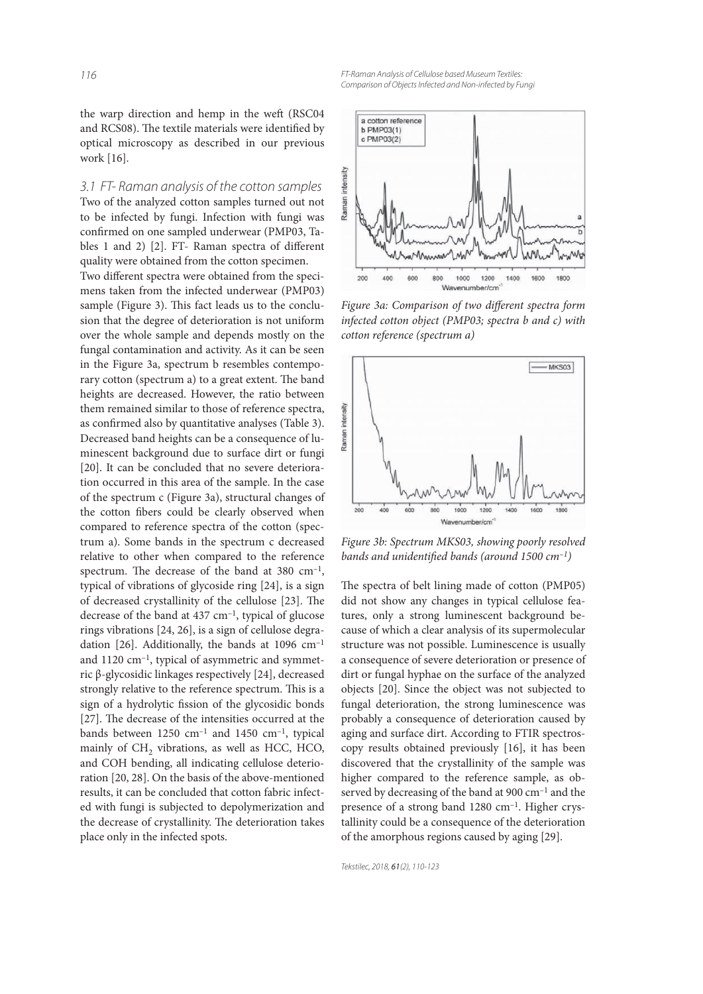the warp direction and hemp in the weft (RSC04 and RCS08). The textile materials were identified by optical microscopy as described in our previous work [16].

3.1 FT- Raman analysis of the cotton samples Two of the analyzed cotton samples turned out not to be infected by fungi. Infection with fungi was confirmed on one sampled underwear (PMP03, Tables 1 and 2) [2]. FT- Raman spectra of different quality were obtained from the cotton specimen.

Two different spectra were obtained from the specimens taken from the infected underwear (PMP03) sample (Figure 3). This fact leads us to the conclusion that the degree of deterioration is not uniform over the whole sample and depends mostly on the fungal contamination and activity. As it can be seen in the Figure 3a, spectrum b resembles contemporary cotton (spectrum a) to a great extent. The band heights are decreased. However, the ratio between them remained similar to those of reference spectra, as confirmed also by quantitative analyses (Table 3). Decreased band heights can be a consequence of luminescent background due to surface dirt or fungi [20]. It can be concluded that no severe deterioration occurred in this area of the sample. In the case of the spectrum c (Figure 3a), structural changes of the cotton fibers could be clearly observed when compared to reference spectra of the cotton (spectrum a). Some bands in the spectrum c decreased relative to other when compared to the reference spectrum. The decrease of the band at 380  $cm^{-1}$ , typical of vibrations of glycoside ring [24], is a sign of decreased crystallinity of the cellulose [23]. The decrease of the band at 437 cm–1, typical of glucose rings vibrations [24, 26], is a sign of cellulose degradation [26]. Additionally, the bands at  $1096 \text{ cm}^{-1}$ and 1120 cm–1, typical of asymmetric and symmetric β-glycosidic linkages respectively [24], decreased strongly relative to the reference spectrum. This is a sign of a hydrolytic fission of the glycosidic bonds [27]. The decrease of the intensities occurred at the bands between  $1250 \text{ cm}^{-1}$  and  $1450 \text{ cm}^{-1}$ , typical mainly of  $CH<sub>2</sub>$  vibrations, as well as HCC, HCO, and COH bending, all indicating cellulose deterioration [20, 28]. On the basis of the above-mentioned results, it can be concluded that cotton fabric infected with fungi is subjected to depolymerization and the decrease of crystallinity. The deterioration takes place only in the infected spots.

FT-Raman Analysis of Cellulose based Museum Textiles: Comparison of Objects Infected and Non-infected by Fungi

![](_page_6_Figure_5.jpeg)

Figure 3a: Comparison of two different spectra form infected cotton object (PMP03; spectra b and c) with cotton reference (spectrum a)

![](_page_6_Figure_7.jpeg)

Figure 3b: Spectrum MKS03, showing poorly resolved bands and unidentified bands (around 1500  $cm^{-1}$ )

The spectra of belt lining made of cotton (PMP05) did not show any changes in typical cellulose features, only a strong luminescent background because of which a clear analysis of its supermolecular structure was not possible. Luminescence is usually a consequence of severe deterioration or presence of dirt or fungal hyphae on the surface of the analyzed objects [20]. Since the object was not subjected to fungal deterioration, the strong luminescence was probably a consequence of deterioration caused by aging and surface dirt. According to FTIR spectroscopy results obtained previously [16], it has been discovered that the crystallinity of the sample was higher compared to the reference sample, as observed by decreasing of the band at 900 cm<sup>-1</sup> and the presence of a strong band 1280 cm<sup>-1</sup>. Higher crystallinity could be a consequence of the deterioration of the amorphous regions caused by aging [29].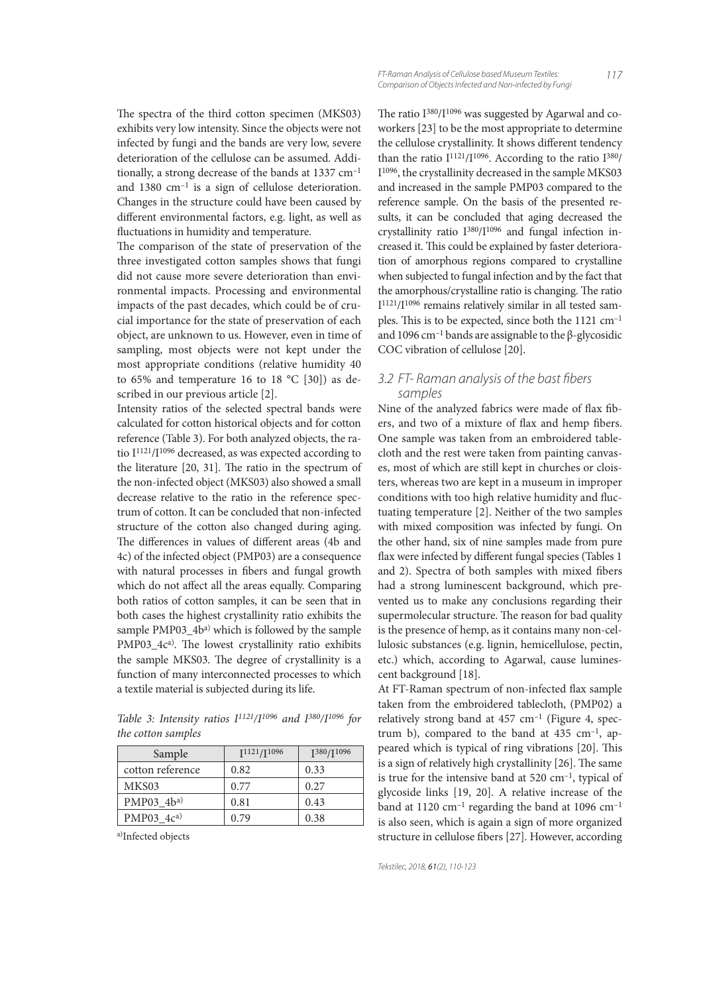The spectra of the third cotton specimen (MKS03) exhibits very low intensity. Since the objects were not infected by fungi and the bands are very low, severe deterioration of the cellulose can be assumed. Additionally, a strong decrease of the bands at 1337 cm–1 and 1380 cm–1 is a sign of cellulose deterioration. Changes in the structure could have been caused by different environmental factors, e.g. light, as well as fluctuations in humidity and temperature.

The comparison of the state of preservation of the three investigated cotton samples shows that fungi did not cause more severe deterioration than environmental impacts. Processing and environmental impacts of the past decades, which could be of crucial importance for the state of preservation of each object, are unknown to us. However, even in time of sampling, most objects were not kept under the most appropriate conditions (relative humidity 40 to 65% and temperature 16 to 18 °C [30]) as described in our previous article [2].

Intensity ratios of the selected spectral bands were calculated for cotton historical objects and for cotton reference (Table 3). For both analyzed objects, the ratio I<sup>1121</sup>/I<sup>1096</sup> decreased, as was expected according to the literature  $[20, 31]$ . The ratio in the spectrum of the non-infected object (MKS03) also showed a small decrease relative to the ratio in the reference spectrum of cotton. It can be concluded that non-infected structure of the cotton also changed during aging. The differences in values of different areas (4b and 4c) of the infected object (PMP03) are a consequence with natural processes in fibers and fungal growth which do not affect all the areas equally. Comparing both ratios of cotton samples, it can be seen that in both cases the highest crystallinity ratio exhibits the sample PMP03\_4b<sup>a)</sup> which is followed by the sample  $PMP03_4c<sup>a</sup>$ . The lowest crystallinity ratio exhibits the sample MKS03. The degree of crystallinity is a function of many interconnected processes to which a textile material is subjected during its life.

Table 3: Intensity ratios  $I^{1121}/I^{1096}$  and  $I^{380}/I^{1096}$  for the cotton samples

| Sample           | $I^{1121}/I^{1096}$ | $I^{380}/I^{1096}$ |
|------------------|---------------------|--------------------|
| cotton reference | 0.82                | 0.33               |
| MKS03            | 0.77                | 0.27               |
| PMP03 $4b^{a}$   | 0.81                | 0.43               |
| PMP03 $4ca$      | 0.79                | 0.38               |

a)Infected objects

117

The ratio I<sup>380</sup>/I<sup>1096</sup> was suggested by Agarwal and coworkers [23] to be the most appropriate to determine the cellulose crystallinity. It shows different tendency than the ratio  $I^{1121}/I^{1096}$ . According to the ratio  $I^{380}/I$ I1096, the crystallinity decreased in the sample MKS03 and increased in the sample PMP03 compared to the reference sample. On the basis of the presented results, it can be concluded that aging decreased the crystallinity ratio I380/I1096 and fungal infection increased it. This could be explained by faster deterioration of amorphous regions compared to crystalline when subjected to fungal infection and by the fact that the amorphous/crystalline ratio is changing. The ratio I1121/I1096 remains relatively similar in all tested samples. This is to be expected, since both the  $1121 \text{ cm}^{-1}$ and 1096 cm<sup>-1</sup> bands are assignable to the β-glycosidic COC vibration of cellulose [20].

#### 3.2 FT- Raman analysis of the bast fibers samples

Nine of the analyzed fabrics were made of flax fibers, and two of a mixture of flax and hemp fibers. One sample was taken from an embroidered tablecloth and the rest were taken from painting canvases, most of which are still kept in churches or cloisters, whereas two are kept in a museum in improper conditions with too high relative humidity and fluctuating temperature [2]. Neither of the two samples with mixed composition was infected by fungi. On the other hand, six of nine samples made from pure flax were infected by different fungal species (Tables 1 and 2). Spectra of both samples with mixed fibers had a strong luminescent background, which prevented us to make any conclusions regarding their supermolecular structure. The reason for bad quality is the presence of hemp, as it contains many non-cellulosic substances (e.g. lignin, hemicellulose, pectin, etc.) which, according to Agarwal, cause luminescent background [18].

At FT-Raman spectrum of non-infected flax sample taken from the embroidered tablecloth, (PMP02) a relatively strong band at  $457 \text{ cm}^{-1}$  (Figure 4, spectrum b), compared to the band at  $435 \text{ cm}^{-1}$ , appeared which is typical of ring vibrations [20]. This is a sign of relatively high crystallinity [26]. The same is true for the intensive band at  $520 \text{ cm}^{-1}$ , typical of glycoside links [19, 20]. A relative increase of the band at 1120  $\text{cm}^{-1}$  regarding the band at 1096  $\text{cm}^{-1}$ is also seen, which is again a sign of more organized structure in cellulose fibers [27]. However, according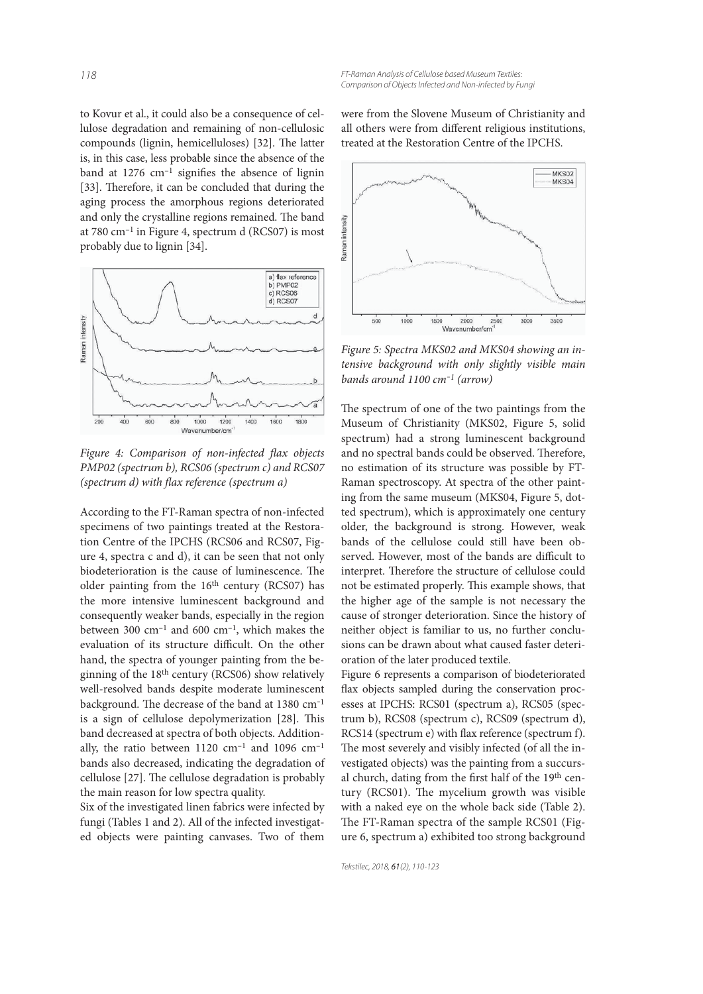to Kovur et al., it could also be a consequence of cellulose degradation and remaining of non-cellulosic compounds (lignin, hemicelluloses) [32]. The latter is, in this case, less probable since the absence of the band at  $1276 \text{ cm}^{-1}$  signifies the absence of lignin [33]. Therefore, it can be concluded that during the aging process the amorphous regions deteriorated and only the crystalline regions remained. The band at 780 cm–1 in Figure 4, spectrum d (RCS07) is most probably due to lignin [34].

![](_page_8_Figure_2.jpeg)

Figure 4: Comparison of non-infected flax objects PMP02 (spectrum b), RCS06 (spectrum c) and RCS07 (spectrum  $d$ ) with flax reference (spectrum  $a$ )

According to the FT-Raman spectra of non-infected specimens of two paintings treated at the Restoration Centre of the IPCHS (RCS06 and RCS07, Figure 4, spectra c and d), it can be seen that not only biodeterioration is the cause of luminescence. The older painting from the 16<sup>th</sup> century (RCS07) has the more intensive luminescent background and consequently weaker bands, especially in the region between 300 cm<sup>-1</sup> and 600 cm<sup>-1</sup>, which makes the evaluation of its structure difficult. On the other hand, the spectra of younger painting from the beginning of the 18th century (RCS06) show relatively well-resolved bands despite moderate luminescent background. The decrease of the band at 1380 cm<sup>-1</sup> is a sign of cellulose depolymerization [28]. This band decreased at spectra of both objects. Additionally, the ratio between  $1120 \text{ cm}^{-1}$  and  $1096 \text{ cm}^{-1}$ bands also decreased, indicating the degradation of cellulose [27]. The cellulose degradation is probably the main reason for low spectra quality.

Six of the investigated linen fabrics were infected by fungi (Tables 1 and 2). All of the infected investigated objects were painting canvases. Two of them were from the Slovene Museum of Christianity and all others were from different religious institutions, treated at the Restoration Centre of the IPCHS.

![](_page_8_Figure_7.jpeg)

Figure 5: Spectra MKS02 and MKS04 showing an intensive background with only slightly visible main bands around  $1100$  cm<sup>-1</sup> (arrow)

The spectrum of one of the two paintings from the Museum of Christianity (MKS02, Figure 5, solid spectrum) had a strong luminescent background and no spectral bands could be observed. Therefore, no estimation of its structure was possible by FT-Raman spectroscopy. At spectra of the other painting from the same museum (MKS04, Figure 5, dotted spectrum), which is approximately one century older, the background is strong. However, weak bands of the cellulose could still have been observed. However, most of the bands are difficult to interpret. Therefore the structure of cellulose could not be estimated properly. This example shows, that the higher age of the sample is not necessary the cause of stronger deterioration. Since the history of neither object is familiar to us, no further conclusions can be drawn about what caused faster deterioration of the later produced textile.

Figure 6 represents a comparison of biodeteriorated flax objects sampled during the conservation processes at IPCHS: RCS01 (spectrum a), RCS05 (spectrum b), RCS08 (spectrum c), RCS09 (spectrum d), RCS14 (spectrum e) with flax reference (spectrum f). The most severely and visibly infected (of all the investigated objects) was the painting from a succursal church, dating from the first half of the 19<sup>th</sup> century (RCS01). The mycelium growth was visible with a naked eye on the whole back side (Table 2). The FT-Raman spectra of the sample RCS01 (Figure 6, spectrum a) exhibited too strong background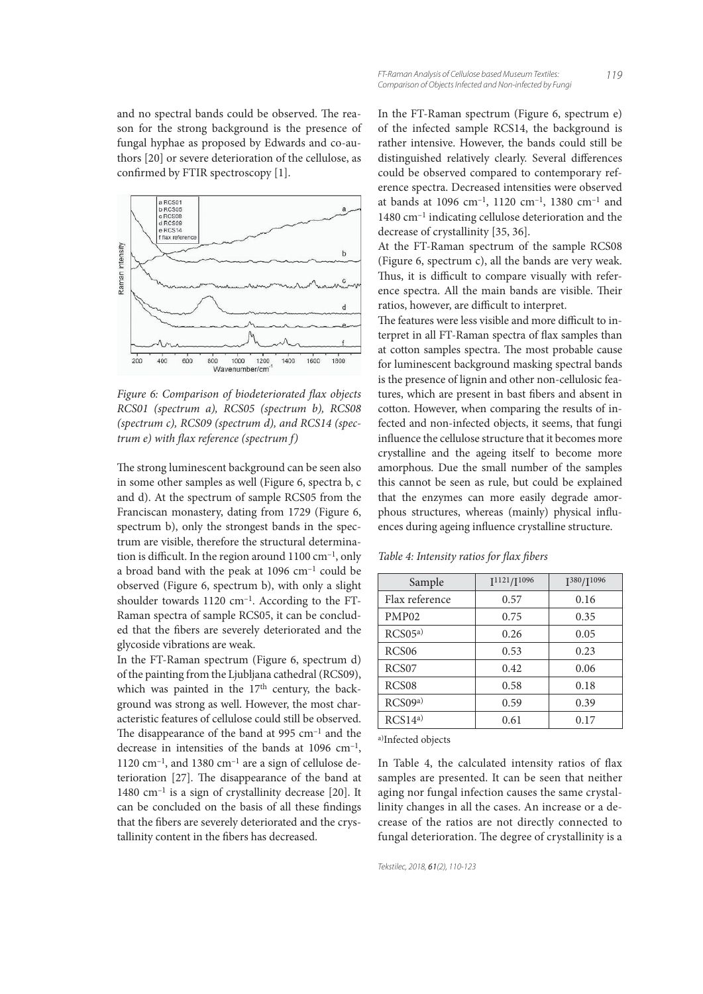and no spectral bands could be observed. The reason for the strong background is the presence of fungal hyphae as proposed by Edwards and co-authors [20] or severe deterioration of the cellulose, as confirmed by FTIR spectroscopy [1].

![](_page_9_Figure_1.jpeg)

Figure 6: Comparison of biodeteriorated flax objects RCS01 (spectrum a), RCS05 (spectrum b), RCS08 (spectrum c), RCS09 (spectrum d), and RCS14 (spectrum  $e$ ) with flax reference (spectrum  $f$ )

The strong luminescent background can be seen also in some other samples as well (Figure 6, spectra b, c and d). At the spectrum of sample RCS05 from the Franciscan monastery, dating from 1729 (Figure 6, spectrum b), only the strongest bands in the spectrum are visible, therefore the structural determination is difficult. In the region around  $1100 \text{ cm}^{-1}$ , only a broad band with the peak at 1096 cm–1 could be observed (Figure 6, spectrum b), with only a slight shoulder towards 1120 cm–1. According to the FT-Raman spectra of sample RCS05, it can be concluded that the fibers are severely deteriorated and the glycoside vibrations are weak.

In the FT-Raman spectrum (Figure 6, spectrum d) of the painting from the Ljubljana cathedral (RCS09), which was painted in the 17<sup>th</sup> century, the background was strong as well. However, the most characteristic features of cellulose could still be observed. The disappearance of the band at 995  $cm^{-1}$  and the decrease in intensities of the bands at 1096 cm–1, 1120 cm<sup>-1</sup>, and 1380 cm<sup>-1</sup> are a sign of cellulose deterioration  $[27]$ . The disappearance of the band at 1480 cm–1 is a sign of crystallinity decrease [20]. It can be concluded on the basis of all these findings that the fibers are severely deteriorated and the crystallinity content in the fibers has decreased.

In the FT-Raman spectrum (Figure 6, spectrum e) of the infected sample RCS14, the background is rather intensive. However, the bands could still be distinguished relatively clearly. Several differences could be observed compared to contemporary reference spectra. Decreased intensities were observed at bands at 1096 cm–1, 1120 cm–1, 1380 cm–1 and 1480 cm–1 indicating cellulose deterioration and the decrease of crystallinity [35, 36].

At the FT-Raman spectrum of the sample RCS08 (Figure 6, spectrum c), all the bands are very weak. Thus, it is difficult to compare visually with reference spectra. All the main bands are visible. Their ratios, however, are difficult to interpret.

The features were less visible and more difficult to interpret in all FT-Raman spectra of flax samples than at cotton samples spectra. The most probable cause for luminescent background masking spectral bands is the presence of lignin and other non-cellulosic features, which are present in bast fibers and absent in cotton. However, when comparing the results of infected and non-infected objects, it seems, that fungi influence the cellulose structure that it becomes more crystalline and the ageing itself to become more amorphous. Due the small number of the samples this cannot be seen as rule, but could be explained that the enzymes can more easily degrade amorphous structures, whereas (mainly) physical influences during ageing influence crystalline structure.

Table 4: Intensity ratios for flax fibers

| Sample            | $I^{1121}/I^{1096}$ | I <sup>380</sup> /I <sup>1096</sup> |
|-------------------|---------------------|-------------------------------------|
| Flax reference    | 0.57                | 0.16                                |
| PMP <sub>02</sub> | 0.75                | 0.35                                |
| RCS05a)           | 0.26                | 0.05                                |
| RCS <sub>06</sub> | 0.53                | 0.23                                |
| RCS07             | 0.42                | 0.06                                |
| RCS <sub>08</sub> | 0.58                | 0.18                                |
| RCS09a)           | 0.59                | 0.39                                |
| RCS14a)           | 0.61                | 0.17                                |

a)Infected objects

In Table 4, the calculated intensity ratios of flax samples are presented. It can be seen that neither aging nor fungal infection causes the same crystallinity changes in all the cases. An increase or a decrease of the ratios are not directly connected to fungal deterioration. The degree of crystallinity is a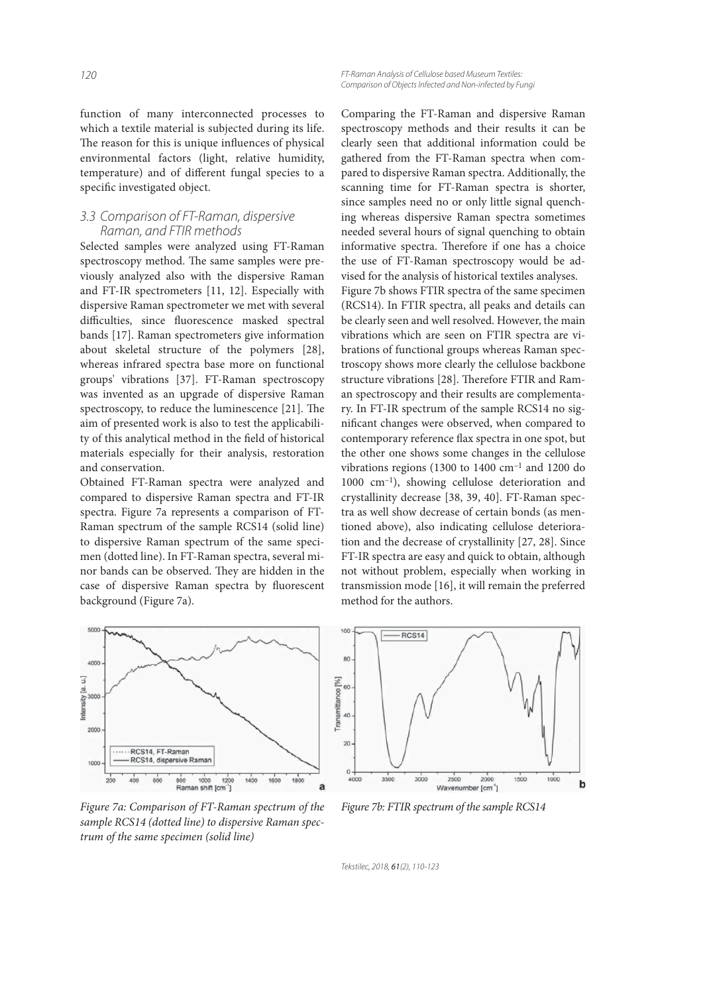function of many interconnected processes to which a textile material is subjected during its life. The reason for this is unique influences of physical environmental factors (light, relative humidity, temperature) and of different fungal species to a specific investigated object.

#### 3.3 Comparison of FT-Raman, dispersive Raman, and FTIR methods

Selected samples were analyzed using FT-Raman spectroscopy method. The same samples were previously analyzed also with the dispersive Raman and FT-IR spectrometers [11, 12]. Especially with dispersive Raman spectrometer we met with several difficulties, since fluorescence masked spectral bands [17]. Raman spectrometers give information about skeletal structure of the polymers [28], whereas infrared spectra base more on functional groups' vibrations [37]. FT-Raman spectroscopy was invented as an upgrade of dispersive Raman spectroscopy, to reduce the luminescence  $[21]$ . The aim of presented work is also to test the applicability of this analytical method in the field of historical materials especially for their analysis, restoration and conservation.

Obtained FT-Raman spectra were analyzed and compared to dispersive Raman spectra and FT-IR spectra. Figure 7a represents a comparison of FT-Raman spectrum of the sample RCS14 (solid line) to dispersive Raman spectrum of the same specimen (dotted line). In FT-Raman spectra, several minor bands can be observed. They are hidden in the case of dispersive Raman spectra by fluorescent background (Figure 7a).

![](_page_10_Figure_5.jpeg)

Comparing the FT-Raman and dispersive Raman spectroscopy methods and their results it can be clearly seen that additional information could be gathered from the FT-Raman spectra when compared to dispersive Raman spectra. Additionally, the scanning time for FT-Raman spectra is shorter, since samples need no or only little signal quenching whereas dispersive Raman spectra sometimes needed several hours of signal quenching to obtain informative spectra. Therefore if one has a choice the use of FT-Raman spectroscopy would be advised for the analysis of historical textiles analyses. Figure 7b shows FTIR spectra of the same specimen (RCS14). In FTIR spectra, all peaks and details can be clearly seen and well resolved. However, the main vibrations which are seen on FTIR spectra are vibrations of functional groups whereas Raman spectroscopy shows more clearly the cellulose backbone structure vibrations [28]. Therefore FTIR and Raman spectroscopy and their results are complementary. In FT-IR spectrum of the sample RCS14 no significant changes were observed, when compared to contemporary reference flax spectra in one spot, but the other one shows some changes in the cellulose vibrations regions (1300 to 1400  $\text{cm}^{-1}$  and 1200 do 1000 cm–1), showing cellulose deterioration and crystallinity decrease [38, 39, 40]. FT-Raman spectra as well show decrease of certain bonds (as mentioned above), also indicating cellulose deterioration and the decrease of crystallinity [27, 28]. Since FT-IR spectra are easy and quick to obtain, although not without problem, especially when working in transmission mode [16], it will remain the preferred method for the authors.

![](_page_10_Figure_7.jpeg)

Figure 7a: Comparison of FT-Raman spectrum of the sample RCS14 (dotted line) to dispersive Raman spectrum of the same specimen (solid line)

![](_page_10_Figure_9.jpeg)

Figure 7b: FTIR spectrum of the sample RCS14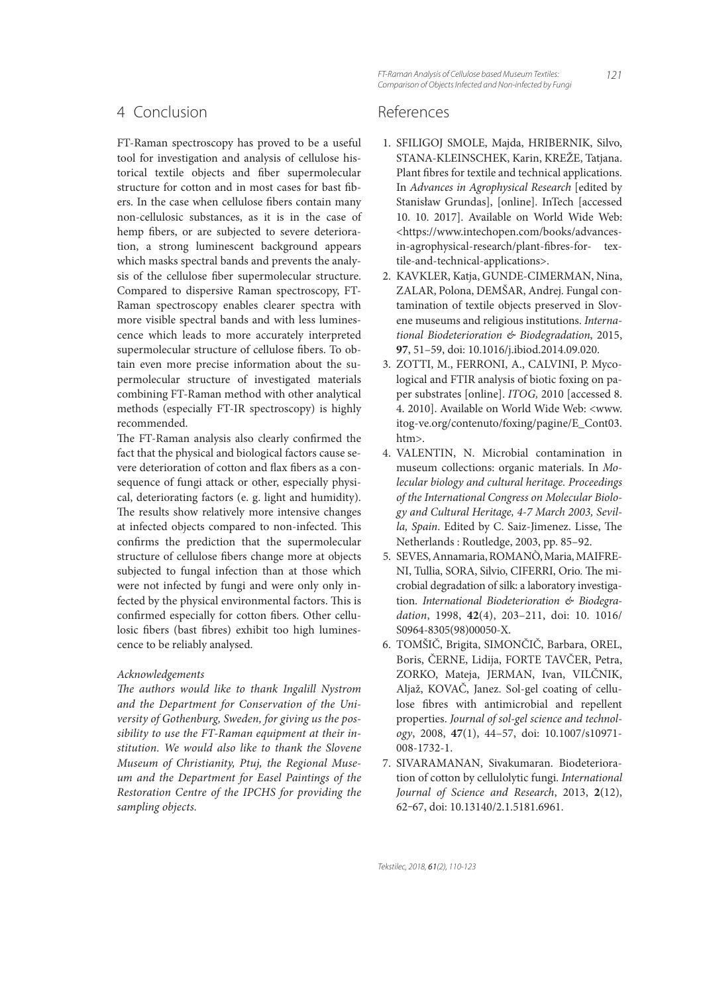## 4 Conclusion

FT-Raman spectroscopy has proved to be a useful tool for investigation and analysis of cellulose historical textile objects and fiber supermolecular structure for cotton and in most cases for bast fibers. In the case when cellulose fibers contain many non-cellulosic substances, as it is in the case of hemp fibers, or are subjected to severe deterioration, a strong luminescent background appears which masks spectral bands and prevents the analysis of the cellulose fiber supermolecular structure. Compared to dispersive Raman spectroscopy, FT-Raman spectroscopy enables clearer spectra with more visible spectral bands and with less luminescence which leads to more accurately interpreted supermolecular structure of cellulose fibers. To obtain even more precise information about the supermolecular structure of investigated materials combining FT-Raman method with other analytical methods (especially FT-IR spectroscopy) is highly recommended.

The FT-Raman analysis also clearly confirmed the fact that the physical and biological factors cause severe deterioration of cotton and flax fibers as a consequence of fungi attack or other, especially physical, deteriorating factors (e. g. light and humidity). The results show relatively more intensive changes at infected objects compared to non-infected. This confirms the prediction that the supermolecular structure of cellulose fibers change more at objects subjected to fungal infection than at those which were not infected by fungi and were only only infected by the physical environmental factors. This is confirmed especially for cotton fibers. Other cellulosic fibers (bast fibres) exhibit too high luminescence to be reliably analysed.

#### Acknowledgements

The authors would like to thank Ingalill Nystrom and the Department for Conservation of the University of Gothenburg, Sweden, for giving us the possibility to use the FT-Raman equipment at their institution. We would also like to thank the Slovene Museum of Christianity, Ptuj, the Regional Museum and the Department for Easel Paintings of the Restoration Centre of the IPCHS for providing the sampling objects.

FT-Raman Analysis of Cellulose based Museum Textiles: Comparison of Objects Infected and Non-infected by Fungi

## References

- 1. SFILIGOJ SMOLE, Majda, HRIBERNIK, Silvo, STANA-KLEINSCHEK, Karin, KREŽE, Tatjana. Plant fibres for textile and technical applications. In Advances in Agrophysical Research [edited by Stanisław Grundas], [online]. InTech [accessed 10. 10. 2017]. Available on World Wide Web: <https://www.intechopen.com/books/advancesin-agrophysical-research/plant-fibres-for- textile-and-technical-applications>.
- 2. KAVKLER, Katja, GUNDE-CIMERMAN, Nina, ZALAR, Polona, DEMŠAR, Andrej. Fungal contamination of textile objects preserved in Slovene museums and religious institutions. International Biodeterioration & Biodegradation, 2015, **97**, 51–59, doi: 10.1016/j.ibiod.2014.09.020.
- 3. ZOTTI, M., FERRONI, A., CALVINI, P. Mycological and FTIR analysis of biotic foxing on paper substrates [online]. ITOG, 2010 [accessed 8. 4. 2010]. Available on World Wide Web: <www. itog-ve.org/contenuto/foxing/pagine/E\_Cont03. htm>.
- 4. VALENTIN, N. Microbial contamination in museum collections: organic materials. In Molecular biology and cultural heritage. Proceedings of the International Congress on Molecular Biology and Cultural Heritage, 4-7 March 2003, Sevilla, Spain. Edited by C. Saiz-Jimenez. Lisse, The Netherlands : Routledge, 2003, pp. 85–92.
- 5. SEVES, Annamaria, ROMANÒ, Maria, MAIFRE-NI, Tullia, SORA, Silvio, CIFERRI, Orio. The microbial degradation of silk: a laboratory investigation. International Biodeterioration & Biodegradation, 1998, **42**(4), 203–211, doi: 10. 1016/ S0964-8305(98)00050-X.
- 6. TOMŠIČ, Brigita, SIMONČIČ, Barbara, OREL, Boris, ČERNE, Lidija, FORTE TAVČER, Petra, ZORKO, Mateja, JERMAN, Ivan, VILČNIK, Aljaž, KOVAČ, Janez. Sol-gel coating of cellulose fibres with antimicrobial and repellent properties. Journal of sol-gel science and technology, 2008, **47**(1), 44–57, doi: 10.1007/s10971- 008-1732-1.
- 7. SIVARAMANAN, Sivakumaran. Biodeterioration of cotton by cellulolytic fungi. International Journal of Science and Research, 2013, **2**(12), 62‒67, doi: 10.13140/2.1.5181.6961.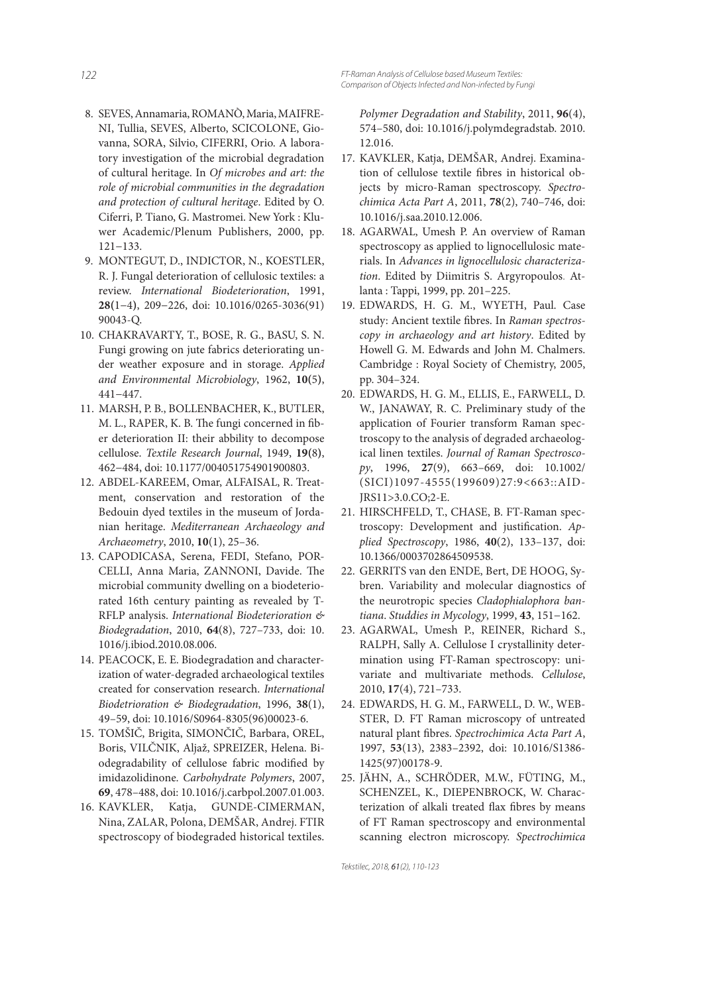- 8. SEVES, Annamaria, ROMANÒ, Maria, MAIFRE-NI, Tullia, SEVES, Alberto, SCICOLONE, Giovanna, SORA, Silvio, CIFERRI, Orio. A laboratory investigation of the microbial degradation of cultural heritage. In Of microbes and art: the role of microbial communities in the degradation and protection of cultural heritage. Edited by O. Ciferri, P. Tiano, G. Mastromei. New York : Kluwer Academic/Plenum Publishers, 2000, pp. 121−133.
- 9. MONTEGUT, D., INDICTOR, N., KOESTLER, R. J. Fungal deterioration of cellulosic textiles: a review. International Biodeterioration, 1991, **28(**1−4**)**, 209−226, doi: 10.1016/0265-3036(91) 90043-Q.
- 10. CHAKRAVARTY, T., BOSE, R. G., BASU, S. N. Fungi growing on jute fabrics deteriorating under weather exposure and in storage. Applied and Environmental Microbiology, 1962, **10(**5**)**, 441−447.
- 11. MARSH, P. B., BOLLENBACHER, K., BUTLER, M. L., RAPER, K. B. The fungi concerned in fiber deterioration II: their abbility to decompose cellulose. Textile Research Journal, 1949, **19(**8**)**, 462−484, doi: 10.1177/004051754901900803.
- 12. ABDEL-KAREEM, Omar, ALFAISAL, R. Treatment, conservation and restoration of the Bedouin dyed textiles in the museum of Jordanian heritage. Mediterranean Archaeology and Archaeometry, 2010, **10**(1), 25–36.
- 13. CAPODICASA, Serena, FEDI, Stefano, POR-CELLI, Anna Maria, ZANNONI, Davide. The microbial community dwelling on a biodeteriorated 16th century painting as revealed by T-RFLP analysis. International Biodeterioration & Biodegradation, 2010, **64**(8), 727–733, doi: 10. 1016/j.ibiod.2010.08.006.
- 14. PEACOCK, E. E. Biodegradation and characterization of water-degraded archaeological textiles created for conservation research. International Biodetrioration & Biodegradation, 1996, **38**(1), 49–59, doi: 10.1016/S0964-8305(96)00023-6.
- 15. TOMŠIČ, Brigita, SIMONČIČ, Barbara, OREL, Boris, VILČNIK, Aljaž, SPREIZER, Helena. Biodegradability of cellulose fabric modified by imidazolidinone. Carbohydrate Polymers, 2007, **69**, 478–488, doi: 10.1016/j.carbpol.2007.01.003.
- 16. KAVKLER, Katja, GUNDE-CIMERMAN, Nina, ZALAR, Polona, DEMŠAR, Andrej. FTIR spectroscopy of biodegraded historical textiles.

Polymer Degradation and Stability, 2011, **96**(4), 574–580, doi: 10.1016/j.polymdegradstab. 2010. 12.016.

- 17. KAVKLER, Katja, DEMŠAR, Andrej. Examination of cellulose textile fibres in historical objects by micro-Raman spectroscopy. Spectrochimica Acta Part A, 2011, **78**(2), 740–746, doi: 10.1016/j.saa.2010.12.006.
- 18. AGARWAL, Umesh P. An overview of Raman spectroscopy as applied to lignocellulosic materials. In Advances in lignocellulosic characterization. Edited by Diimitris S. Argyropoulos. Atlanta : Tappi, 1999, pp. 201–225.
- 19. EDWARDS, H. G. M., WYETH, Paul. Case study: Ancient textile fibres. In Raman spectroscopy in archaeology and art history. Edited by Howell G. M. Edwards and John M. Chalmers. Cambridge : Royal Society of Chemistry, 2005, pp. 304–324.
- 20. EDWARDS, H. G. M., ELLIS, E., FARWELL, D. W., JANAWAY, R. C. Preliminary study of the application of Fourier transform Raman spectroscopy to the analysis of degraded archaeological linen textiles. Journal of Raman Spectroscopy, 1996, **27**(9), 663–669, doi: 10.1002/ (SICI)1097-4555(199609)27:9<663::AID-JRS11>3.0.CO;2-E.
- 21. HIRSCHFELD, T., CHASE, B. FT-Raman spectroscopy: Development and justification. Applied Spectroscopy, 1986, **40**(2), 133–137, doi: 10.1366/0003702864509538.
- 22. GERRITS van den ENDE, Bert, DE HOOG, Sybren. Variability and molecular diagnostics of the neurotropic species Cladophialophora bantiana. Studdies in Mycology, 1999, **43**, 151−162.
- 23. AGARWAL, Umesh P., REINER, Richard S., RALPH, Sally A. Cellulose I crystallinity determination using FT-Raman spectroscopy: univariate and multivariate methods. Cellulose, 2010, **17**(4), 721–733.
- 24. EDWARDS, H. G. M., FARWELL, D. W., WEB-STER, D. FT Raman microscopy of untreated natural plant fibres. Spectrochimica Acta Part A, 1997, **53**(13), 2383–2392, doi: 10.1016/S1386- 1425(97)00178-9.
- 25. JÄHN, A., SCHRÖDER, M.W., FÜTING, M., SCHENZEL, K., DIEPENBROCK, W. Characterization of alkali treated flax fibres by means of FT Raman spectroscopy and environmental scanning electron microscopy. Spectrochimica